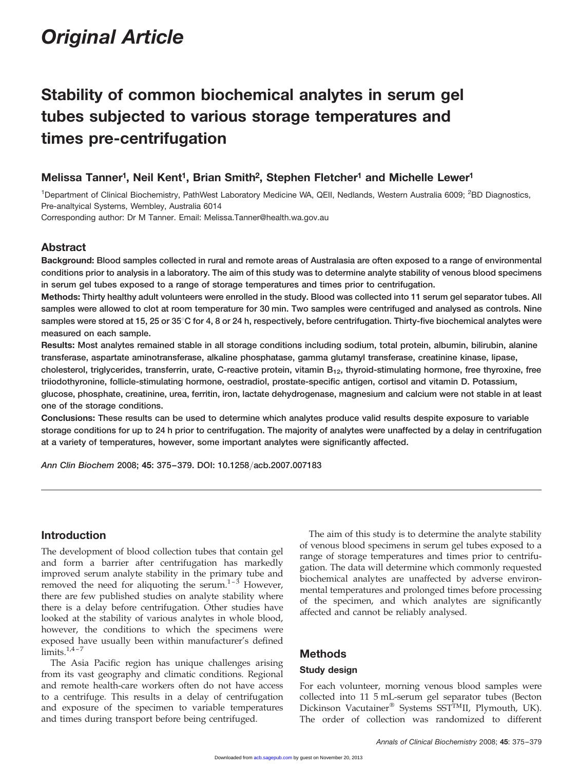# Original Article

# Stability of common biochemical analytes in serum gel tubes subjected to various storage temperatures and times pre-centrifugation

# Melissa Tanner<sup>1</sup>, Neil Kent<sup>1</sup>, Brian Smith<sup>2</sup>, Stephen Fletcher<sup>1</sup> and Michelle Lewer<sup>1</sup>

<sup>1</sup>Department of Clinical Biochemistry, PathWest Laboratory Medicine WA, QEII, Nedlands, Western Australia 6009; <sup>2</sup>BD Diagnostics, Pre-analtyical Systems, Wembley, Australia 6014

Corresponding author: Dr M Tanner. Email: Melissa.Tanner@health.wa.gov.au

# Abstract

Background: Blood samples collected in rural and remote areas of Australasia are often exposed to a range of environmental conditions prior to analysis in a laboratory. The aim of this study was to determine analyte stability of venous blood specimens in serum gel tubes exposed to a range of storage temperatures and times prior to centrifugation.

Methods: Thirty healthy adult volunteers were enrolled in the study. Blood was collected into 11 serum gel separator tubes. All samples were allowed to clot at room temperature for 30 min. Two samples were centrifuged and analysed as controls. Nine samples were stored at 15, 25 or 35°C for 4, 8 or 24 h, respectively, before centrifugation. Thirty-five biochemical analytes were measured on each sample.

Results: Most analytes remained stable in all storage conditions including sodium, total protein, albumin, bilirubin, alanine transferase, aspartate aminotransferase, alkaline phosphatase, gamma glutamyl transferase, creatinine kinase, lipase,

cholesterol, triglycerides, transferrin, urate, C-reactive protein, vitamin  $B_{12}$ , thyroid-stimulating hormone, free thyroxine, free triiodothyronine, follicle-stimulating hormone, oestradiol, prostate-specific antigen, cortisol and vitamin D. Potassium,

glucose, phosphate, creatinine, urea, ferritin, iron, lactate dehydrogenase, magnesium and calcium were not stable in at least one of the storage conditions.

Conclusions: These results can be used to determine which analytes produce valid results despite exposure to variable storage conditions for up to 24 h prior to centrifugation. The majority of analytes were unaffected by a delay in centrifugation at a variety of temperatures, however, some important analytes were significantly affected.

Ann Clin Biochem 2008; 45: 375–379. DOI: 10.1258/acb.2007.007183

# Introduction

The development of blood collection tubes that contain gel and form a barrier after centrifugation has markedly improved serum analyte stability in the primary tube and removed the need for aliquoting the serum. $1-3$  However, there are few published studies on analyte stability where there is a delay before centrifugation. Other studies have looked at the stability of various analytes in whole blood, however, the conditions to which the specimens were exposed have usually been within manufacturer's defined  $limits.<sup>1,4-7</sup>$ 

The Asia Pacific region has unique challenges arising from its vast geography and climatic conditions. Regional and remote health-care workers often do not have access to a centrifuge. This results in a delay of centrifugation and exposure of the specimen to variable temperatures and times during transport before being centrifuged.

The aim of this study is to determine the analyte stability of venous blood specimens in serum gel tubes exposed to a range of storage temperatures and times prior to centrifugation. The data will determine which commonly requested biochemical analytes are unaffected by adverse environmental temperatures and prolonged times before processing of the specimen, and which analytes are significantly affected and cannot be reliably analysed.

# Methods

## Study design

For each volunteer, morning venous blood samples were collected into 11 5 mL-serum gel separator tubes (Becton Dickinson Vacutainer® Systems SST<sup>TM</sup>II, Plymouth, UK). The order of collection was randomized to different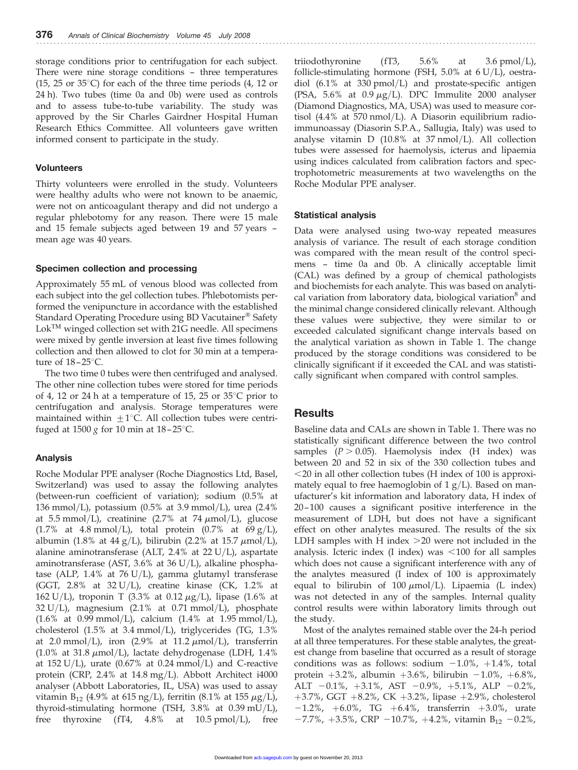storage conditions prior to centrifugation for each subject. There were nine storage conditions – three temperatures (15, 25 or  $35^{\circ}$ C) for each of the three time periods (4, 12 or 24 h). Two tubes (time 0a and 0b) were used as controls and to assess tube-to-tube variability. The study was approved by the Sir Charles Gairdner Hospital Human Research Ethics Committee. All volunteers gave written informed consent to participate in the study.

## Volunteers

Thirty volunteers were enrolled in the study. Volunteers were healthy adults who were not known to be anaemic, were not on anticoagulant therapy and did not undergo a regular phlebotomy for any reason. There were 15 male and 15 female subjects aged between 19 and 57 years – mean age was 40 years.

#### Specimen collection and processing

Approximately 55 mL of venous blood was collected from each subject into the gel collection tubes. Phlebotomists performed the venipuncture in accordance with the established Standard Operating Procedure using BD Vacutainer<sup>®</sup> Safety Lok<sup>™</sup> winged collection set with 21G needle. All specimens were mixed by gentle inversion at least five times following collection and then allowed to clot for 30 min at a temperature of  $18-25^{\circ}$ C.

The two time 0 tubes were then centrifuged and analysed. The other nine collection tubes were stored for time periods of 4, 12 or 24 h at a temperature of 15, 25 or  $35^{\circ}$ C prior to centrifugation and analysis. Storage temperatures were maintained within  $\pm 1^{\circ}$ C. All collection tubes were centrifuged at 1500 g for 10 min at  $18-25^{\circ}$ C.

## Analysis

Roche Modular PPE analyser (Roche Diagnostics Ltd, Basel, Switzerland) was used to assay the following analytes (between-run coefficient of variation); sodium (0.5% at 136 mmol/L), potassium (0.5% at 3.9 mmol/L), urea (2.4% at 5.5 mmol/L), creatinine (2.7% at 74  $\mu$ mol/L), glucose (1.7% at 4.8 mmol/L), total protein (0.7% at  $69 g/L$ ), albumin (1.8% at 44 g/L), bilirubin (2.2% at 15.7  $\mu$ mol/L), alanine aminotransferase (ALT, 2.4% at 22 U/L), aspartate aminotransferase (AST, 3.6% at 36 U/L), alkaline phosphatase (ALP, 1.4% at 76 U/L), gamma glutamyl transferase (GGT,  $2.8\%$  at  $32 U/L$ ), creatine kinase (CK,  $1.2\%$  at 162 U/L), troponin T (3.3% at 0.12  $\mu$ g/L), lipase (1.6% at  $32 U/L$ , magnesium (2.1% at 0.71 mmol/L), phosphate  $(1.6\% \text{ at } 0.99 \text{ mmol/L})$ , calcium  $(1.4\% \text{ at } 1.95 \text{ mmol/L})$ , cholesterol (1.5% at 3.4 mmol/L), triglycerides (TG, 1.3% at 2.0 mmol/L), iron  $(2.9\%$  at 11.2  $\mu$ mol/L), transferrin  $(1.0\%$  at 31.8  $\mu$ mol/L), lactate dehydrogenase (LDH, 1.4% at 152 U/L), urate  $(0.67\%$  at 0.24 mmol/L) and C-reactive protein (CRP, 2.4% at 14.8 mg/L). Abbott Architect i4000 analyser (Abbott Laboratories, IL, USA) was used to assay vitamin B<sub>12</sub> (4.9% at 615 ng/L), ferritin (8.1% at 155  $\mu$ g/L), thyroid-stimulating hormone (TSH, 3.8% at 0.39 mU/L), free thyroxine (fT4, 4.8% at 10.5 pmol/L), free

triiodothyronine  $(fT3, 5.6\%$  at  $3.6 \text{ pmol/L}$ , follicle-stimulating hormone (FSH, 5.0% at 6 U/L), oestradiol (6.1% at 330 pmol/L) and prostate-specific antigen (PSA, 5.6% at 0.9  $\mu$ g/L). DPC Immulite 2000 analyser (Diamond Diagnostics, MA, USA) was used to measure cortisol (4.4% at 570 nmol/L). A Diasorin equilibrium radioimmunoassay (Diasorin S.P.A., Sallugia, Italy) was used to analyse vitamin D (10.8% at 37 nmol/L). All collection tubes were assessed for haemolysis, icterus and lipaemia using indices calculated from calibration factors and spectrophotometric measurements at two wavelengths on the Roche Modular PPE analyser.

### Statistical analysis

Data were analysed using two-way repeated measures analysis of variance. The result of each storage condition was compared with the mean result of the control specimens – time 0a and 0b. A clinically acceptable limit (CAL) was defined by a group of chemical pathologists and biochemists for each analyte. This was based on analytical variation from laboratory data, biological variation<sup>8</sup> and the minimal change considered clinically relevant. Although these values were subjective, they were similar to or exceeded calculated significant change intervals based on the analytical variation as shown in Table 1. The change produced by the storage conditions was considered to be clinically significant if it exceeded the CAL and was statistically significant when compared with control samples.

# **Results**

Baseline data and CALs are shown in Table 1. There was no statistically significant difference between the two control samples  $(P > 0.05)$ . Haemolysis index (H index) was between 20 and 52 in six of the 330 collection tubes and  $<$  20 in all other collection tubes (H index of 100 is approximately equal to free haemoglobin of  $1 g/L$ ). Based on manufacturer's kit information and laboratory data, H index of 20 –100 causes a significant positive interference in the measurement of LDH, but does not have a significant effect on other analytes measured. The results of the six LDH samples with H index  $>$  20 were not included in the analysis. Icteric index  $(I \text{ index})$  was  $\leq 100$  for all samples which does not cause a significant interference with any of the analytes measured (I index of 100 is approximately equal to bilirubin of 100  $\mu$ mol/L). Lipaemia (L index) was not detected in any of the samples. Internal quality control results were within laboratory limits through out the study.

Most of the analytes remained stable over the 24-h period at all three temperatures. For these stable analytes, the greatest change from baseline that occurred as a result of storage conditions was as follows: sodium  $-1.0\%$ ,  $+1.4\%$ , total protein +3.2%, albumin +3.6%, bilirubin  $-1.0\%$ , +6.8%, ALT  $-0.1\%$ ,  $+3.1\%$ , AST  $-0.9\%$ ,  $+5.1\%$ , ALP  $-0.2\%$ , +3.7%, GGT +8.2%, CK +3.2%, lipase +2.9%, cholesterol  $-1.2\%$ ,  $+6.0\%$ , TG  $+6.4\%$ , transferrin  $+3.0\%$ , urate  $-7.7\%$ ,  $+3.5\%$ , CRP  $-10.7\%$ ,  $+4.2\%$ , vitamin B<sub>12</sub>  $-0.2\%$ ,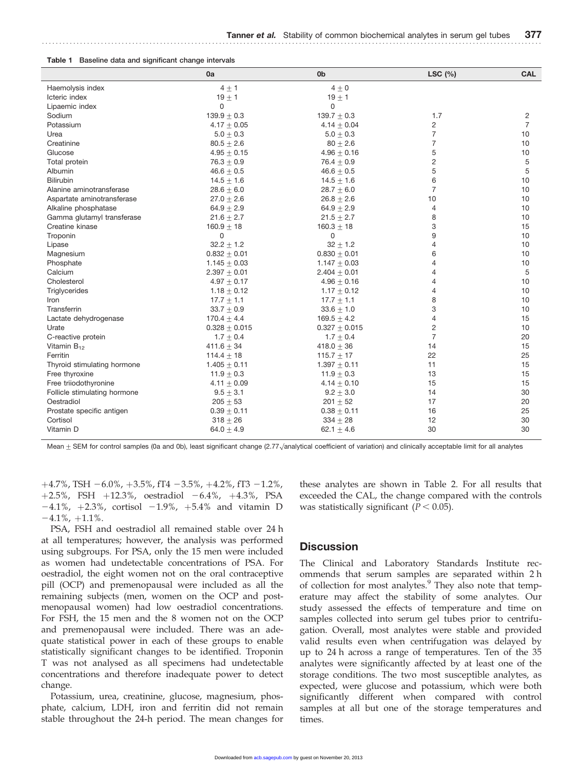|  |  |  | Table 1 Baseline data and significant change intervals |  |  |
|--|--|--|--------------------------------------------------------|--|--|
|--|--|--|--------------------------------------------------------|--|--|

|                              | 0a                | 0 <sub>b</sub>                   | LSC $(%)$      | <b>CAL</b>     |
|------------------------------|-------------------|----------------------------------|----------------|----------------|
| Haemolysis index             | $4 + 1$           | $4 + 0$                          |                |                |
| Icteric index                | $19 + 1$          | $19 \pm 1$                       |                |                |
| Lipaemic index               | $\Omega$          | $\Omega$                         |                |                |
| Sodium                       | $139.9 \pm 0.3$   | $139.7 \pm 0.3$                  | 1.7            | 2              |
| Potassium                    | $4.17 \pm 0.05$   | $4.14 \pm 0.04$                  | 2              | $\overline{7}$ |
| Urea                         | $5.0 \pm 0.3$     | $5.0 \pm 0.3$                    | 7              | 10             |
| Creatinine                   | $80.5 + 2.6$      | $80 + 2.6$                       | 7              | 10             |
| Glucose                      | $4.95 + 0.15$     | $4.96 + 0.16$                    | 5              | 10             |
| Total protein                | $76.3 + 0.9$      | $76.4 + 0.9$                     | 2              | 5              |
| Albumin                      | $46.6 + 0.5$      | $46.6 + 0.5$                     | 5              | 5              |
| <b>Bilirubin</b>             | $14.5 + 1.6$      |                                  | 6              | 10             |
| Alanine aminotransferase     | $28.6 \pm 6.0$    | $14.5 \pm 1.6$<br>$28.7 \pm 6.0$ | $\overline{7}$ | 10             |
| Aspartate aminotransferase   | $27.0 + 2.6$      | $26.8 + 2.6$                     | 10             | 10             |
|                              |                   |                                  |                | 10             |
| Alkaline phosphatase         | $64.9 \pm 2.9$    | $64.9 \pm 2.9$                   | 4              |                |
| Gamma glutamyl transferase   | $21.6 \pm 2.7$    | $21.5 \pm 2.7$                   | 8              | 10             |
| Creatine kinase              | $160.9 + 18$      | $160.3 + 18$                     | 3              | 15             |
| Troponin                     | 0                 | 0                                | 9              | 10             |
| Lipase                       | $32.2 + 1.2$      | $32 \pm 1.2$                     | 4              | 10             |
| Magnesium                    | $0.832 + 0.01$    | $0.830 + 0.01$                   | 6              | 10             |
| Phosphate                    | $1.145 + 0.03$    | $1.147 + 0.03$                   | 4              | 10             |
| Calcium                      | $2.397 + 0.01$    | $2.404 \pm 0.01$                 | 4              | 5              |
| Cholesterol                  | $4.97 + 0.17$     | $4.96 \pm 0.16$                  | 4              | 10             |
| Triglycerides                | $1.18 \pm 0.12$   | $1.17 \pm 0.12$                  | 4              | 10             |
| Iron                         | $17.7 \pm 1.1$    | $17.7 \pm 1.1$                   | 8              | 10             |
| Transferrin                  | $33.7 + 0.9$      | $33.6 \pm 1.0$                   | 3              | 10             |
| Lactate dehydrogenase        | $170.4 \pm 4.4$   | $169.5 \pm 4.2$                  | 4              | 15             |
| Urate                        | $0.328 \pm 0.015$ | $0.327 \pm 0.015$                | 2              | 10             |
| C-reactive protein           | $1.7 + 0.4$       | $1.7 + 0.4$                      | $\overline{7}$ | 20             |
| Vitamin $B_{12}$             | $411.6 + 34$      | $418.0 + 36$                     | 14             | 15             |
| Ferritin                     | 114.4 $\pm$ 18    | 115.7 $\pm$ 17                   | 22             | 25             |
| Thyroid stimulating hormone  | $1.405 + 0.11$    | $1.397 + 0.11$                   | 11             | 15             |
| Free thyroxine               | $11.9 + 0.3$      | $11.9 + 0.3$                     | 13             | 15             |
| Free triiodothyronine        | $4.11 \pm 0.09$   | $4.14 \pm 0.10$                  | 15             | 15             |
| Follicle stimulating hormone | $9.5 \pm 3.1$     | $9.2 \pm 3.0$                    | 14             | 30             |
| Oestradiol                   | $205 + 53$        | $201 + 52$                       | 17             | 20             |
| Prostate specific antigen    | $0.39 \pm 0.11$   | $0.38 \pm 0.11$                  | 16             | 25             |
| Cortisol                     | $318 + 26$        | $334 + 28$                       | 12             | 30             |
| Vitamin D                    | $64.0 + 4.9$      | 62.1 $\pm$ 4.6                   | 30             | 30             |

Mean  $\pm$  SEM for control samples (0a and 0b), least significant change (2.77 $\sqrt$ analytical coefficient of variation) and clinically acceptable limit for all analytes

 $+4.7\%$ , TSH  $-6.0\%$ ,  $+3.5\%$ , fT4  $-3.5\%$ ,  $+4.2\%$ , fT3  $-1.2\%$ , +2.5%, FSH +12.3%, oestradiol -6.4%, +4.3%, PSA  $-4.1\%$ ,  $+2.3\%$ , cortisol  $-1.9\%$ ,  $+5.4\%$  and vitamin D  $-4.1\%$ ,  $+1.1\%$ .

PSA, FSH and oestradiol all remained stable over 24 h at all temperatures; however, the analysis was performed using subgroups. For PSA, only the 15 men were included as women had undetectable concentrations of PSA. For oestradiol, the eight women not on the oral contraceptive pill (OCP) and premenopausal were included as all the remaining subjects (men, women on the OCP and postmenopausal women) had low oestradiol concentrations. For FSH, the 15 men and the 8 women not on the OCP and premenopausal were included. There was an adequate statistical power in each of these groups to enable statistically significant changes to be identified. Troponin T was not analysed as all specimens had undetectable concentrations and therefore inadequate power to detect change.

Potassium, urea, creatinine, glucose, magnesium, phosphate, calcium, LDH, iron and ferritin did not remain stable throughout the 24-h period. The mean changes for

these analytes are shown in Table 2. For all results that exceeded the CAL, the change compared with the controls was statistically significant ( $P < 0.05$ ).

## **Discussion**

The Clinical and Laboratory Standards Institute recommends that serum samples are separated within 2 h of collection for most analytes.<sup>9</sup> They also note that temperature may affect the stability of some analytes. Our study assessed the effects of temperature and time on samples collected into serum gel tubes prior to centrifugation. Overall, most analytes were stable and provided valid results even when centrifugation was delayed by up to 24 h across a range of temperatures. Ten of the 35 analytes were significantly affected by at least one of the storage conditions. The two most susceptible analytes, as expected, were glucose and potassium, which were both significantly different when compared with control samples at all but one of the storage temperatures and times.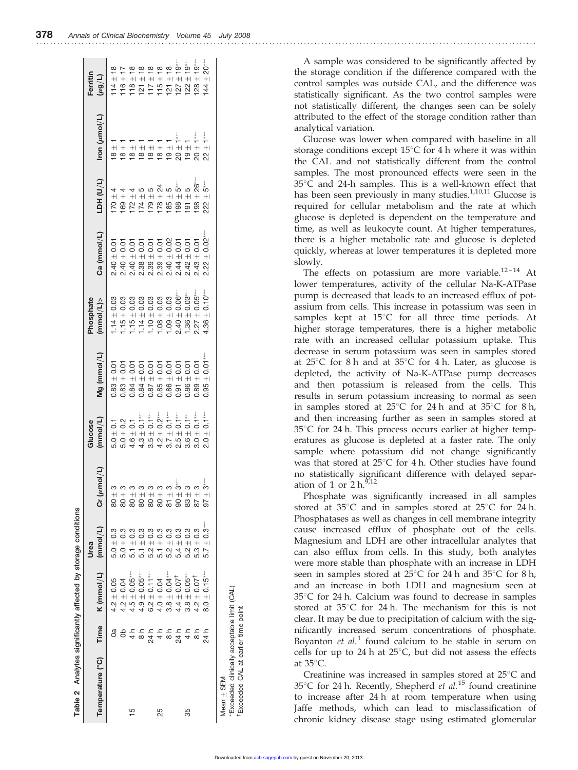+18 +17 +18 +18 +18 +18 +18 +19 � +19 � +19 � +20 �

A sample was considered to be significantly affected by the storage condition if the difference compared with the control samples was outside CAL, and the difference was statistically significant. As the two control samples were not statistically different, the changes seen can be solely attributed to the effect of the storage condition rather than analytical variation.

Glucose was lower when compared with baseline in all storage conditions except  $15^{\circ}$ C for 4 h where it was within the CAL and not statistically different from the control samples. The most pronounced effects were seen in the  $35^{\circ}$ C and 24-h samples. This is a well-known effect that has been seen previously in many studies.<sup>1,10,11</sup> Glucose is required for cellular metabolism and the rate at which glucose is depleted is dependent on the temperature and time, as well as leukocyte count. At higher temperatures, there is a higher metabolic rate and glucose is depleted quickly, whereas at lower temperatures it is depleted more slowly.

The effects on potassium are more variable.<sup>12-14</sup> At lower temperatures, activity of the cellular Na-K-ATPase pump is decreased that leads to an increased efflux of potassium from cells. This increase in potassium was seen in samples kept at  $15^{\circ}$ C for all three time periods. At higher storage temperatures, there is a higher metabolic rate with an increased cellular potassium uptake. This decrease in serum potassium was seen in samples stored at  $25^{\circ}$ C for 8 h and at  $35^{\circ}$ C for 4 h. Later, as glucose is depleted, the activity of Na-K-ATPase pump decreases and then potassium is released from the cells. This results in serum potassium increasing to normal as seen in samples stored at  $25^{\circ}$ C for 24 h and at  $35^{\circ}$ C for 8 h, and then increasing further as seen in samples stored at  $35^{\circ}$ C for 24 h. This process occurs earlier at higher temperatures as glucose is depleted at a faster rate. The only sample where potassium did not change significantly was that stored at  $25^{\circ}$ C for 4 h. Other studies have found no statistically significant difference with delayed separation of 1 or  $2 h^{9,12}$ 

Phosphate was significantly increased in all samples stored at  $35^{\circ}$ C and in samples stored at  $25^{\circ}$ C for 24 h. Phosphatases as well as changes in cell membrane integrity cause increased efflux of phosphate out of the cells. Magnesium and LDH are other intracellular analytes that can also efflux from cells. In this study, both analytes were more stable than phosphate with an increase in LDH seen in samples stored at  $25^{\circ}$ C for 24 h and  $35^{\circ}$ C for 8 h, and an increase in both LDH and magnesium seen at  $35^{\circ}$ C for 24 h. Calcium was found to decrease in samples stored at  $35^{\circ}$ C for 24 h. The mechanism for this is not clear. It may be due to precipitation of calcium with the significantly increased serum concentrations of phosphate. Boyanton *et al.*<sup>1</sup> found calcium to be stable in serum on cells for up to 24 h at  $25^{\circ}$ C, but did not assess the effects at  $35^{\circ}$ C.

Creatinine was increased in samples stored at  $25^{\circ}$ C and 35°C for 24 h. Recently, Shepherd *et al.*<sup>15</sup> found creatinine to increase after 24 h at room temperature when using Jaffe methods, which can lead to misclassification of chronic kidney disease stage using estimated glomerular

| checks content<br>۱ |  |
|---------------------|--|
| ć                   |  |
| i<br>$\overline{a}$ |  |
| $\sim$<br>i         |  |
| salidad o<br>5      |  |
| ı                   |  |

tions

| Table 2 Analytes significantly affected by storage conditions |                                                                                               |                             |                  |                                                    |                                |                        |                                                                                                                                                                                                                      |                                                                                                                        |                                                                         |                               |                    |
|---------------------------------------------------------------|-----------------------------------------------------------------------------------------------|-----------------------------|------------------|----------------------------------------------------|--------------------------------|------------------------|----------------------------------------------------------------------------------------------------------------------------------------------------------------------------------------------------------------------|------------------------------------------------------------------------------------------------------------------------|-------------------------------------------------------------------------|-------------------------------|--------------------|
| Temperature (°C) Time                                         |                                                                                               | K (mmol/L) (mmol/L)         | Urea             | Cr (umol/L)                                        | (mmol/L)<br>Glucose            | Mg (mmol/L)            | Phosphate<br>(mmol/L)                                                                                                                                                                                                | Ca (mmol/L)                                                                                                            | TDH <sub>(n/T)</sub>                                                    | lron (µmol/L)                 | Ferritin<br>(7/6n) |
|                                                               | g                                                                                             | $4.2 \pm 0.05$              | $5.0 \pm 0.3$    | $80 \pm 3$                                         | $5.0 \pm 0.1$                  | $0.83 \pm 0.01$        | $1.14 \pm 0.03$                                                                                                                                                                                                      | $2.40 \pm 0.01$                                                                                                        | $170 + 4$                                                               | $\frac{+}{8}$                 |                    |
|                                                               |                                                                                               | $4.2 \pm 0.04$              | $5.0 \pm 0.3$    | $80 \pm 3$                                         |                                | $= 0.01$<br>0.83       |                                                                                                                                                                                                                      | $2.40 \pm 0.01$                                                                                                        |                                                                         | $\frac{+}{8}$                 |                    |
| Ю                                                             |                                                                                               | $4.5 \pm 0.05$ *            | $5.1 \pm 0.3$    | $80 + 3$                                           | $5.0 \pm 0.2$<br>4.6 $\pm$ 0.1 |                        |                                                                                                                                                                                                                      |                                                                                                                        |                                                                         | $\frac{+}{8}$                 |                    |
|                                                               | $4 \begin{array}{l} 4 \times 2 \times 4 \times 8 \\ 7 \times 7 \times 7 \times 8 \end{array}$ | $4.9 \pm 0.05$ *            | $5.1 \pm 0.3$    | $\frac{3}{1}$<br>80                                | $4.3 \pm 0.1**$                |                        | $\begin{array}{l} 1.15 \pm 0.03 \\ 1.15 \pm 0.03 \\ 1.14 \pm 0.03 \\ 1.14 \pm 0.03 \\ 1.03 \pm 0.03 \\ 1.10 \pm 0.03 \\ 1.09 \pm 0.03 \\ 1.09 \pm 0.06^{*-} \\ 1.09 \pm 0.06^{*-} \\ 2.40 \pm 0.06^{*-} \end{array}$ | $\begin{array}{c} 2.40 \pm 0.01 \\ 2.38 \pm 0.01 \\ 2.39 \pm 0.01 \end{array}$                                         | $\begin{array}{l} 169 \\ 172 \\ 174 \\ 174 \\ 174 \\ 56 \\ \end{array}$ | $18 +$                        |                    |
|                                                               |                                                                                               | $6.2 \pm 0.11***$           | $+0.3$<br>5.2    | $\frac{3}{1}$<br>$\rm{SO}$                         | $3.5 \pm 0.1**$                |                        |                                                                                                                                                                                                                      |                                                                                                                        |                                                                         |                               |                    |
| 25                                                            |                                                                                               | $4.0 \pm 0.04$              | $5.1 \pm 0.3$    | $\frac{3}{4}$<br>$\rm{80}$                         | $4.2 \pm 0.2$ <sup>*</sup>     |                        |                                                                                                                                                                                                                      | $\begin{array}{l} 2.39\pm 0.01\\ 2.44\pm 0.01\\ 2.44\pm 0.01\\ 2.42\pm 0.01\\ 2.42\pm 0.01\\ 2.43\pm 0.01 \end{array}$ | $178 \pm 24$<br>$185 \pm 5$                                             | $\frac{+}{8}$ $\frac{+}{8}$   |                    |
|                                                               |                                                                                               | $3.8 \pm 0.04$ *            | $5.2\pm0.3$      | $\begin{array}{c} 81 \\ +3 \\ 90 \\ + \end{array}$ | $3.7 \pm 0.1^{*\leftarrow}$    |                        |                                                                                                                                                                                                                      |                                                                                                                        | $185 \pm 5$                                                             | $+$                           |                    |
|                                                               | $24 h$<br>4 h                                                                                 | $4.4\pm0.07^{\dagger}$      | $5.4\pm0.3$      |                                                    | $2.5 \pm 0.1^{*}$              |                        |                                                                                                                                                                                                                      |                                                                                                                        | ້<br>ຜ<br>$198 + 1$                                                     | $20 \pm 1$ *                  |                    |
| 35                                                            |                                                                                               | $3.8 \pm 0.05$ **           | $5.2\pm0.3$      | $83\pm3$                                           | $3.6 \pm 0.1***$               |                        | $1.36 \pm 0.03^{*-}$                                                                                                                                                                                                 |                                                                                                                        | 5<br>$+$<br>$\overline{9}$                                              | $\frac{+}{9}$                 |                    |
|                                                               | $\frac{1}{8}$                                                                                 | $4.2 \pm 0.07$ <sup>t</sup> | $5.3 \pm 0.3$    | $\frac{3}{1}$<br>87                                | $3.0 \pm 0.1$ <sup>**</sup>    | $\pm 0.01$<br>$0.89 -$ | $\pm$ 0.05*<br>2.27                                                                                                                                                                                                  |                                                                                                                        | $198 \pm 26^{*-}$                                                       | $20 \pm 1$ *                  |                    |
|                                                               | 24 h                                                                                          | $8.0 \pm 0.15$ **           | $5.7 \pm 0.3$ ** | $97 + 3*$                                          | $2.0 \pm 0.1$ <sup>**</sup>    | $+0.01$<br>0.95        | $\pm$ 0.10 $^*$<br>4.36                                                                                                                                                                                              | $\pm 0.02$ <sup>**</sup><br>2.22                                                                                       | ້<br>ຜ<br>$\pm$<br>222                                                  | $\frac{1}{\tau}$<br>$+$<br>22 | N                  |
| Mean + SEM                                                    |                                                                                               |                             |                  |                                                    |                                |                        |                                                                                                                                                                                                                      |                                                                                                                        |                                                                         |                               |                    |

� Exceeded clinically acceptable limit (CAL) †Exceeded CAL at earlier time point

Exceeded clinically acceptable limit (CAL) Exceeded CAL at earlier time point